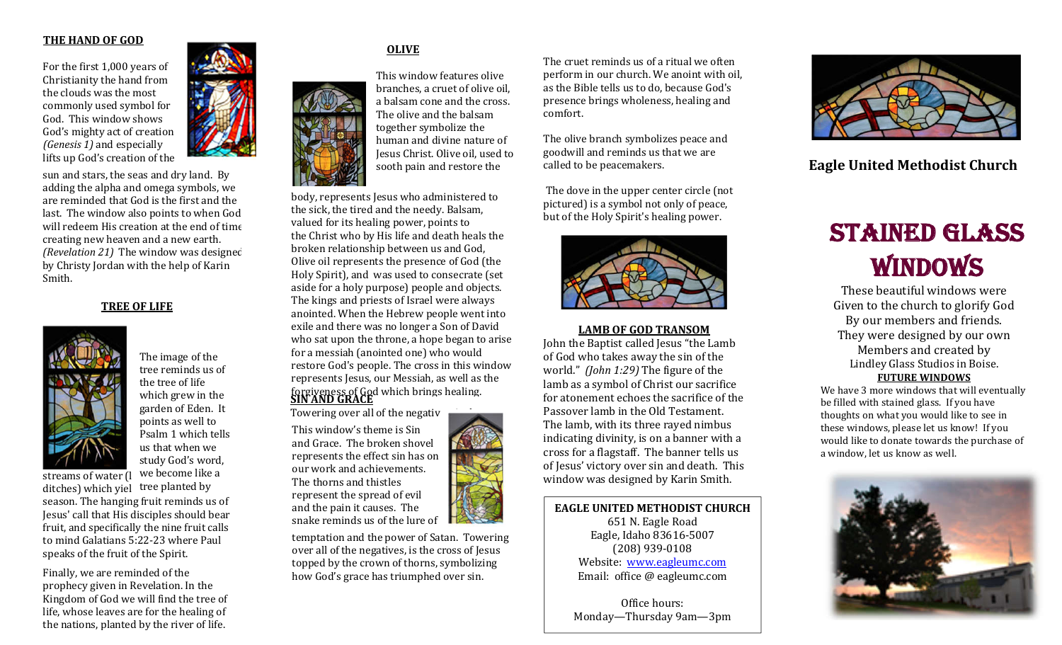#### **THE HAND OF GOD**

For the first 1,000 years of Christianity the hand from the clouds was the most commonly used symbol for God. This window shows God's mighty act of creation *(Genesis 1)* and especially lifts up God's creation of the

sun and stars, the seas and dry land. By adding the alpha and omega symbols, we are reminded that God is the first and the last. The window also points to when God will redeem His creation at the end of time creating new heaven and a new earth. *(Revelation 21)* The window was designed by Christy Jordan with the help of Karin Smith.

# **TREE OF LIFE**



The image of the tree reminds us of the tree of life which grew in the garden of Eden. It points as well to Psalm 1 which tells us that when we study God's word,

streams of water  $\left( \right|$  we become like a

ditches) which yiel tree planted by season. The hanging fruit reminds us of Jesus' call that His disciples should bear fruit, and specifically the nine fruit calls to mind Galatians 5:22-23 where Paul speaks of the fruit of the Spirit.

Finally, we are reminded of the prophecy given in Revelation. In the Kingdom of God we will find the tree of life, whose leaves are for the healing of the nations, planted by the river of life.



# **OLIVE**

This window features olive branches, a cruet of olive oil, a balsam cone and the cross. The olive and the balsam together symbolize the human and divine nature of Jesus Christ. Olive oil, used to sooth pain and restore the

body, represents Jesus who administered to the sick, the tired and the needy. Balsam, valued for its healing power, points to the Christ who by His life and death heals the broken relationship between us and God, Olive oil represents the presence of God (the Holy Spirit), and was used to consecrate (set aside for a holy purpose) people and objects. The kings and priests of Israel were always anointed. When the Hebrew people went into exile and there was no longer a Son of David who sat upon the throne, a hope began to arise for a messiah (anointed one) who would restore God's people. The cross in this window represents Jesus, our Messiah, as well as the forgiveness of God which brings healing. **SIN AND GRACE** Towering over all of the negativ

This window's theme is Sin and Grace. The broken shovel represents the effect sin has on our work and achievements. The thorns and thistles represent the spread of evil and the pain it causes. The snake reminds us of the lure of

temptation and the power of Satan. Towering over all of the negatives, is the cross of Jesus topped by the crown of thorns, symbolizing how God's grace has triumphed over sin.

The cruet reminds us of a ritual we often perform in our church. We anoint with oil, as the Bible tells us to do, because God's presence brings wholeness, healing and comfort.

The olive branch symbolizes peace and goodwill and reminds us that we are called to be peacemakers.

The dove in the upper center circle (not pictured) is a symbol not only of peace, but of the Holy Spirit's healing power.



#### **LAMB OF GOD TRANSOM**

John the Baptist called Jesus "the Lamb of God who takes away the sin of the world." *(John 1:29)* The figure of the lamb as a symbol of Christ our sacrifice for atonement echoes the sacrifice of the Passover lamb in the Old Testament. The lamb, with its three rayed nimbus indicating divinity, is on a banner with a cross for a flagstaff. The banner tells us of Jesus' victory over sin and death. This window was designed by Karin Smith.

**EAGLE UNITED METHODIST CHURCH** 651 N. Eagle Road Eagle, Idaho 83616-5007 (208) 939-0108 Website: www.eagleumc.com Email: office @ eagleumc.com

Office hours: Monday—Thursday 9am—3pm



# **Eagle United Methodist Church**

# STAINED GLASS WINDOWS

These beautiful windows were Given to the church to glorify God By our members and friends. They were designed by our own Members and created by Lindley Glass Studios in Boise. **FUTURE WINDOWS**

We have 3 more windows that will eventually be filled with stained glass. If you have thoughts on what you would like to see in these windows, please let us know! If you would like to donate towards the purchase of a window, let us know as well.